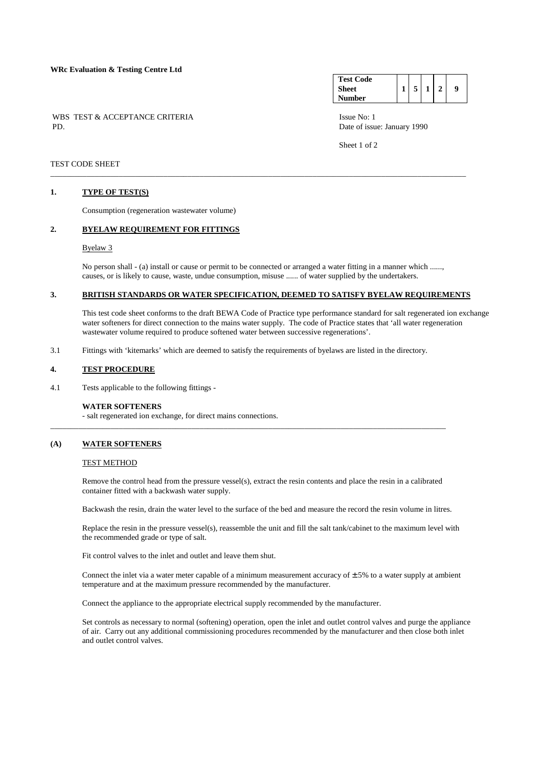#### **WRc Evaluation & Testing Centre Ltd**

WBS TEST & ACCEPTANCE CRITERIA ISSUE No: 1<br>PD Date of issue

#### **Test Code Sheet Number 1 5 1 2 9**

Date of issue: January 1990

Sheet 1 of 2

## TEST CODE SHEET

### **1. TYPE OF TEST(S)**

Consumption (regeneration wastewater volume)

### **2. BYELAW REQUIREMENT FOR FITTINGS**

#### Byelaw 3

 No person shall - (a) install or cause or permit to be connected or arranged a water fitting in a manner which ......, causes, or is likely to cause, waste, undue consumption, misuse ...... of water supplied by the undertakers.

\_\_\_\_\_\_\_\_\_\_\_\_\_\_\_\_\_\_\_\_\_\_\_\_\_\_\_\_\_\_\_\_\_\_\_\_\_\_\_\_\_\_\_\_\_\_\_\_\_\_\_\_\_\_\_\_\_\_\_\_\_\_\_\_\_\_\_\_\_\_\_\_\_\_\_\_\_\_\_\_\_\_\_\_\_\_\_\_\_\_\_\_\_\_\_\_\_\_\_\_\_\_\_

## **3. BRITISH STANDARDS OR WATER SPECIFICATION, DEEMED TO SATISFY BYELAW REQUIREMENTS**

 This test code sheet conforms to the draft BEWA Code of Practice type performance standard for salt regenerated ion exchange water softeners for direct connection to the mains water supply. The code of Practice states that 'all water regeneration wastewater volume required to produce softened water between successive regenerations'.

3.1 Fittings with 'kitemarks' which are deemed to satisfy the requirements of byelaws are listed in the directory.

#### **4. TEST PROCEDURE**

4.1 Tests applicable to the following fittings -

#### **WATER SOFTENERS**

- salt regenerated ion exchange, for direct mains connections.

#### **(A) WATER SOFTENERS**

#### TEST METHOD

 Remove the control head from the pressure vessel(s), extract the resin contents and place the resin in a calibrated container fitted with a backwash water supply.

\_\_\_\_\_\_\_\_\_\_\_\_\_\_\_\_\_\_\_\_\_\_\_\_\_\_\_\_\_\_\_\_\_\_\_\_\_\_\_\_\_\_\_\_\_\_\_\_\_\_\_\_\_\_\_\_\_\_\_\_\_\_\_\_\_\_\_\_\_\_\_\_\_\_\_\_\_\_\_\_\_\_\_\_\_\_\_\_\_\_\_\_\_\_\_\_\_\_

Backwash the resin, drain the water level to the surface of the bed and measure the record the resin volume in litres.

 Replace the resin in the pressure vessel(s), reassemble the unit and fill the salt tank/cabinet to the maximum level with the recommended grade or type of salt.

Fit control valves to the inlet and outlet and leave them shut.

Connect the inlet via a water meter capable of a minimum measurement accuracy of  $\pm$  5% to a water supply at ambient temperature and at the maximum pressure recommended by the manufacturer.

Connect the appliance to the appropriate electrical supply recommended by the manufacturer.

 Set controls as necessary to normal (softening) operation, open the inlet and outlet control valves and purge the appliance of air. Carry out any additional commissioning procedures recommended by the manufacturer and then close both inlet and outlet control valves.